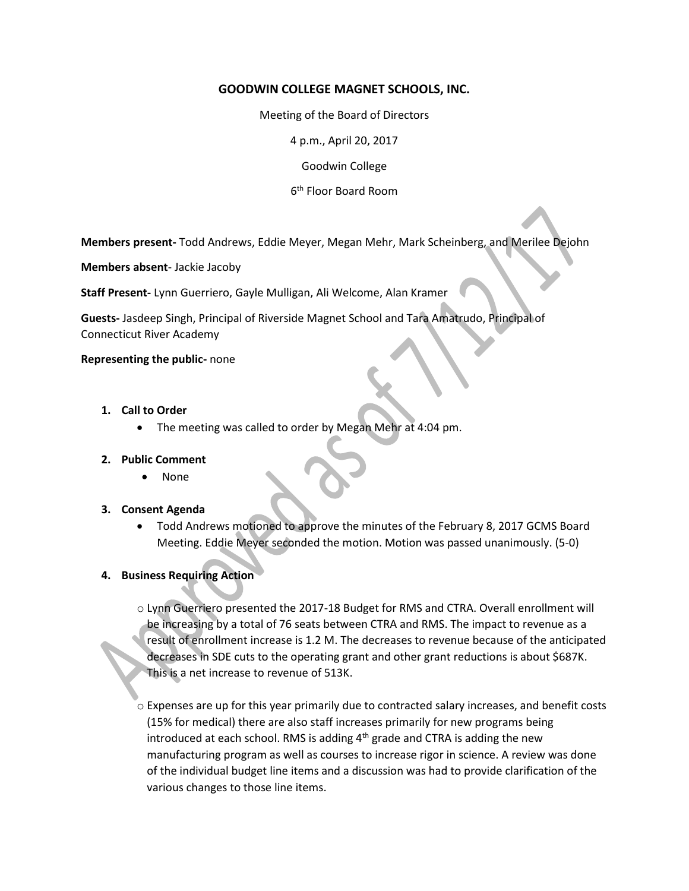## **GOODWIN COLLEGE MAGNET SCHOOLS, INC.**

Meeting of the Board of Directors

4 p.m., April 20, 2017

Goodwin College

6 th Floor Board Room

**Members present-** Todd Andrews, Eddie Meyer, Megan Mehr, Mark Scheinberg, and Merilee Dejohn

**Members absent**- Jackie Jacoby

**Staff Present-** Lynn Guerriero, Gayle Mulligan, Ali Welcome, Alan Kramer

**Guests-** Jasdeep Singh, Principal of Riverside Magnet School and Tara Amatrudo, Principal of Connecticut River Academy

#### **Representing the public-** none

- **1. Call to Order**
	- The meeting was called to order by Megan Mehr at 4:04 pm.

#### **2. Public Comment**

None

### **3. Consent Agenda**

 Todd Andrews motioned to approve the minutes of the February 8, 2017 GCMS Board Meeting. Eddie Meyer seconded the motion. Motion was passed unanimously. (5-0)

### **4. Business Requiring Action**

o Lynn Guerriero presented the 2017-18 Budget for RMS and CTRA. Overall enrollment will be increasing by a total of 76 seats between CTRA and RMS. The impact to revenue as a result of enrollment increase is 1.2 M. The decreases to revenue because of the anticipated decreases in SDE cuts to the operating grant and other grant reductions is about \$687K. This is a net increase to revenue of 513K.

 $\circ$  Expenses are up for this year primarily due to contracted salary increases, and benefit costs (15% for medical) there are also staff increases primarily for new programs being introduced at each school. RMS is adding  $4<sup>th</sup>$  grade and CTRA is adding the new manufacturing program as well as courses to increase rigor in science. A review was done of the individual budget line items and a discussion was had to provide clarification of the various changes to those line items.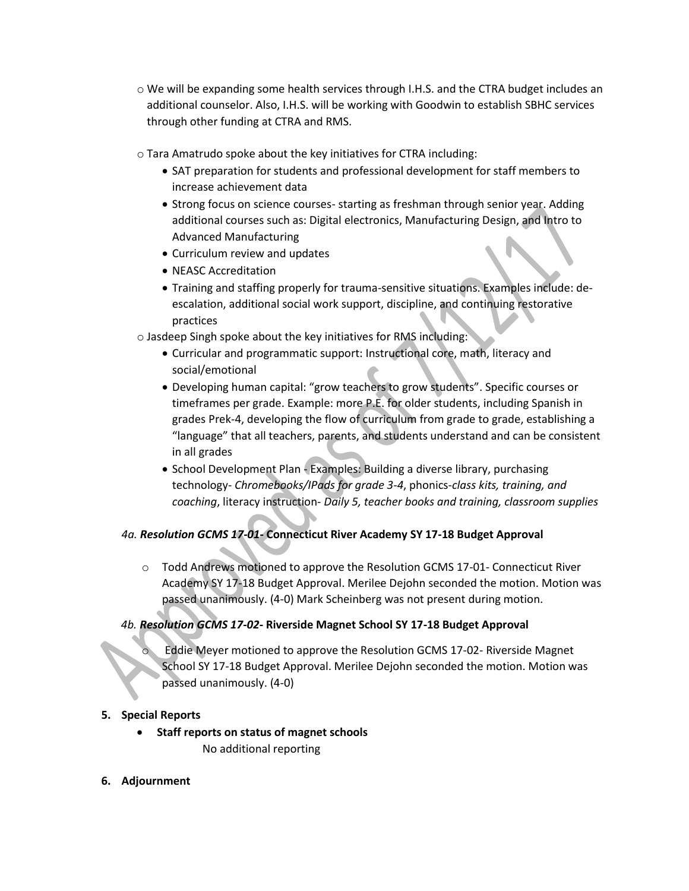- $\circ$  We will be expanding some health services through I.H.S. and the CTRA budget includes an additional counselor. Also, I.H.S. will be working with Goodwin to establish SBHC services through other funding at CTRA and RMS.
- o Tara Amatrudo spoke about the key initiatives for CTRA including:
	- SAT preparation for students and professional development for staff members to increase achievement data
	- Strong focus on science courses- starting as freshman through senior year. Adding additional courses such as: Digital electronics, Manufacturing Design, and Intro to Advanced Manufacturing
	- Curriculum review and updates
	- NEASC Accreditation
	- Training and staffing properly for trauma-sensitive situations. Examples include: deescalation, additional social work support, discipline, and continuing restorative practices
- o Jasdeep Singh spoke about the key initiatives for RMS including:
	- Curricular and programmatic support: Instructional core, math, literacy and social/emotional
	- Developing human capital: "grow teachers to grow students". Specific courses or timeframes per grade. Example: more P.E. for older students, including Spanish in grades Prek-4, developing the flow of curriculum from grade to grade, establishing a "language" that all teachers, parents, and students understand and can be consistent in all grades
	- School Development Plan Examples: Building a diverse library, purchasing technology- *Chromebooks/IPads for grade 3-4*, phonics-*class kits, training, and coaching*, literacy instruction- *Daily 5, teacher books and training, classroom supplies*

# *4a. Resolution GCMS 17-01***- Connecticut River Academy SY 17-18 Budget Approval**

o Todd Andrews motioned to approve the Resolution GCMS 17-01- Connecticut River Academy SY 17-18 Budget Approval. Merilee Dejohn seconded the motion. Motion was passed unanimously. (4-0) Mark Scheinberg was not present during motion.

# *4b. Resolution GCMS 17-02***- Riverside Magnet School SY 17-18 Budget Approval**

Eddie Meyer motioned to approve the Resolution GCMS 17-02- Riverside Magnet School SY 17-18 Budget Approval. Merilee Dejohn seconded the motion. Motion was passed unanimously. (4-0)

## **5. Special Reports**

- **Staff reports on status of magnet schools** No additional reporting
- **6. Adjournment**